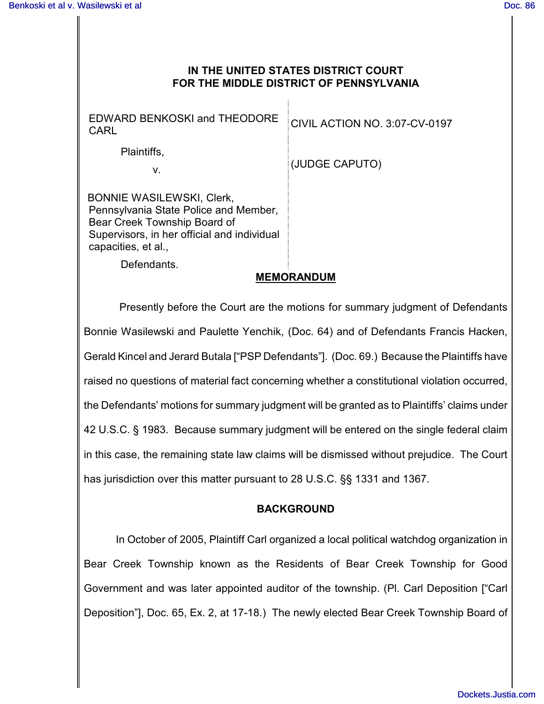## **IN THE UNITED STATES DISTRICT COURT FOR THE MIDDLE DISTRICT OF PENNSYLVANIA**

EDWARD BENKOSKI and THEODORE EDWARD BENKUSKI and THEODURE CIVIL ACTION NO. 3:07-CV-0197

Plaintiffs,

v.

(JUDGE CAPUTO)

 BONNIE WASILEWSKI, Clerk, Pennsylvania State Police and Member, Bear Creek Township Board of Supervisors, in her official and individual capacities, et al.,

Defendants.

## **MEMORANDUM**

 Presently before the Court are the motions for summary judgment of Defendants Bonnie Wasilewski and Paulette Yenchik, (Doc. 64) and of Defendants Francis Hacken, Gerald Kincel and Jerard Butala ["PSP Defendants"]. (Doc. 69.) Because the Plaintiffs have raised no questions of material fact concerning whether a constitutional violation occurred, the Defendants' motions for summary judgment will be granted as to Plaintiffs' claims under 42 U.S.C. § 1983. Because summary judgment will be entered on the single federal claim in this case, the remaining state law claims will be dismissed without prejudice. The Court has jurisdiction over this matter pursuant to 28 U.S.C. §§ 1331 and 1367.

## **BACKGROUND**

In October of 2005, Plaintiff Carl organized a local political watchdog organization in Bear Creek Township known as the Residents of Bear Creek Township for Good Government and was later appointed auditor of the township. (Pl. Carl Deposition ["Carl Deposition"], Doc. 65, Ex. 2, at 17-18.) The newly elected Bear Creek Township Board of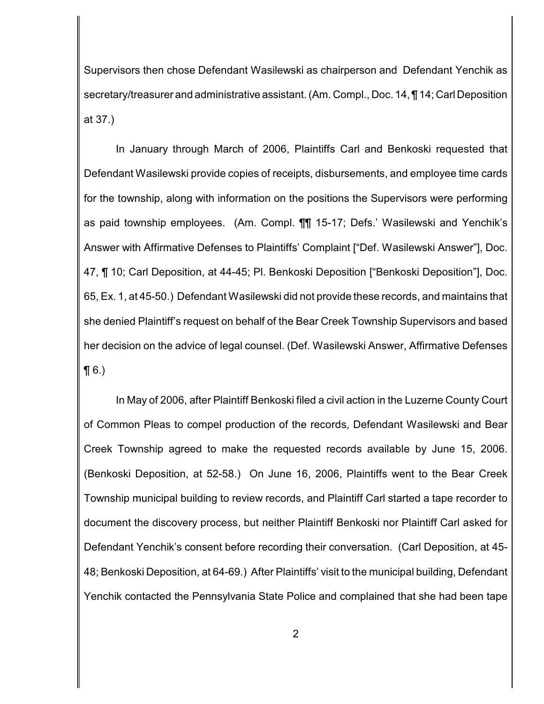Supervisors then chose Defendant Wasilewski as chairperson and Defendant Yenchik as secretary/treasurer and administrative assistant. (Am. Compl., Doc. 14, ¶ 14; Carl Deposition at 37.)

In January through March of 2006, Plaintiffs Carl and Benkoski requested that Defendant Wasilewski provide copies of receipts, disbursements, and employee time cards for the township, along with information on the positions the Supervisors were performing as paid township employees. (Am. Compl. ¶¶ 15-17; Defs.' Wasilewski and Yenchik's Answer with Affirmative Defenses to Plaintiffs' Complaint ["Def. Wasilewski Answer"], Doc. 47, ¶ 10; Carl Deposition, at 44-45; Pl. Benkoski Deposition ["Benkoski Deposition"], Doc. 65, Ex. 1, at 45-50.) Defendant Wasilewski did not provide these records, and maintains that she denied Plaintiff's request on behalf of the Bear Creek Township Supervisors and based her decision on the advice of legal counsel. (Def. Wasilewski Answer, Affirmative Defenses  $\P(6.)$ 

In May of 2006, after Plaintiff Benkoski filed a civil action in the Luzerne County Court of Common Pleas to compel production of the records, Defendant Wasilewski and Bear Creek Township agreed to make the requested records available by June 15, 2006. (Benkoski Deposition, at 52-58.) On June 16, 2006, Plaintiffs went to the Bear Creek Township municipal building to review records, and Plaintiff Carl started a tape recorder to document the discovery process, but neither Plaintiff Benkoski nor Plaintiff Carl asked for Defendant Yenchik's consent before recording their conversation. (Carl Deposition, at 45- 48; Benkoski Deposition, at 64-69.) After Plaintiffs' visit to the municipal building, Defendant Yenchik contacted the Pennsylvania State Police and complained that she had been tape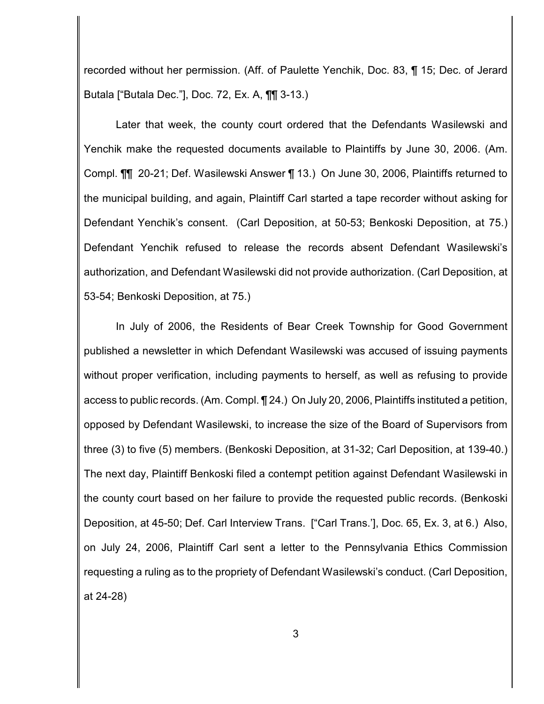recorded without her permission. (Aff. of Paulette Yenchik, Doc. 83, ¶ 15; Dec. of Jerard Butala ["Butala Dec."], Doc. 72, Ex. A, ¶¶ 3-13.)

Later that week, the county court ordered that the Defendants Wasilewski and Yenchik make the requested documents available to Plaintiffs by June 30, 2006. (Am. Compl. ¶¶ 20-21; Def. Wasilewski Answer ¶ 13.) On June 30, 2006, Plaintiffs returned to the municipal building, and again, Plaintiff Carl started a tape recorder without asking for Defendant Yenchik's consent. (Carl Deposition, at 50-53; Benkoski Deposition, at 75.) Defendant Yenchik refused to release the records absent Defendant Wasilewski's authorization, and Defendant Wasilewski did not provide authorization. (Carl Deposition, at 53-54; Benkoski Deposition, at 75.)

In July of 2006, the Residents of Bear Creek Township for Good Government published a newsletter in which Defendant Wasilewski was accused of issuing payments without proper verification, including payments to herself, as well as refusing to provide access to public records. (Am. Compl. ¶ 24.) On July 20, 2006, Plaintiffs instituted a petition, opposed by Defendant Wasilewski, to increase the size of the Board of Supervisors from three (3) to five (5) members. (Benkoski Deposition, at 31-32; Carl Deposition, at 139-40.) The next day, Plaintiff Benkoski filed a contempt petition against Defendant Wasilewski in the county court based on her failure to provide the requested public records. (Benkoski Deposition, at 45-50; Def. Carl Interview Trans. ["Carl Trans.'], Doc. 65, Ex. 3, at 6.) Also, on July 24, 2006, Plaintiff Carl sent a letter to the Pennsylvania Ethics Commission requesting a ruling as to the propriety of Defendant Wasilewski's conduct. (Carl Deposition, at 24-28)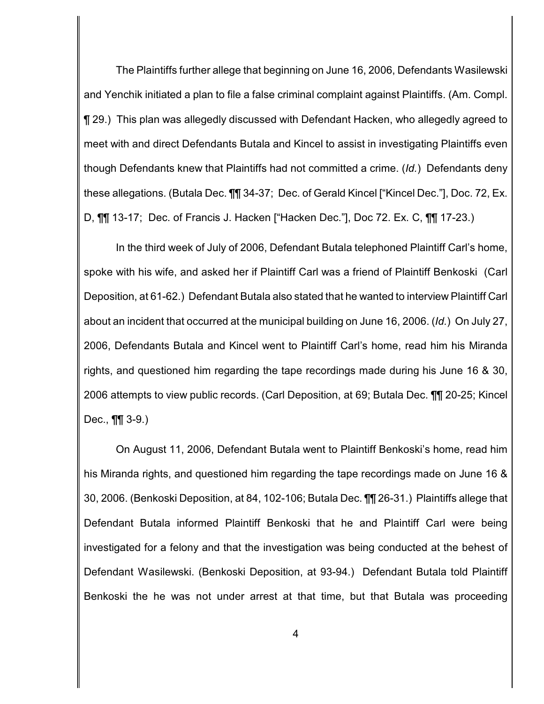The Plaintiffs further allege that beginning on June 16, 2006, Defendants Wasilewski and Yenchik initiated a plan to file a false criminal complaint against Plaintiffs. (Am. Compl. ¶ 29.) This plan was allegedly discussed with Defendant Hacken, who allegedly agreed to meet with and direct Defendants Butala and Kincel to assist in investigating Plaintiffs even though Defendants knew that Plaintiffs had not committed a crime. (*Id.*) Defendants deny these allegations. (Butala Dec. ¶¶ 34-37; Dec. of Gerald Kincel ["Kincel Dec."], Doc. 72, Ex. D, ¶¶ 13-17; Dec. of Francis J. Hacken ["Hacken Dec."], Doc 72. Ex. C, ¶¶ 17-23.)

In the third week of July of 2006, Defendant Butala telephoned Plaintiff Carl's home, spoke with his wife, and asked her if Plaintiff Carl was a friend of Plaintiff Benkoski (Carl Deposition, at 61-62.) Defendant Butala also stated that he wanted to interview Plaintiff Carl about an incident that occurred at the municipal building on June 16, 2006. (*Id.*) On July 27, 2006, Defendants Butala and Kincel went to Plaintiff Carl's home, read him his Miranda rights, and questioned him regarding the tape recordings made during his June 16 & 30, 2006 attempts to view public records. (Carl Deposition, at 69; Butala Dec. ¶¶ 20-25; Kincel Dec., ¶¶ 3-9.)

On August 11, 2006, Defendant Butala went to Plaintiff Benkoski's home, read him his Miranda rights, and questioned him regarding the tape recordings made on June 16 & 30, 2006. (Benkoski Deposition, at 84, 102-106; Butala Dec. ¶¶ 26-31.) Plaintiffs allege that Defendant Butala informed Plaintiff Benkoski that he and Plaintiff Carl were being investigated for a felony and that the investigation was being conducted at the behest of Defendant Wasilewski. (Benkoski Deposition, at 93-94.) Defendant Butala told Plaintiff Benkoski the he was not under arrest at that time, but that Butala was proceeding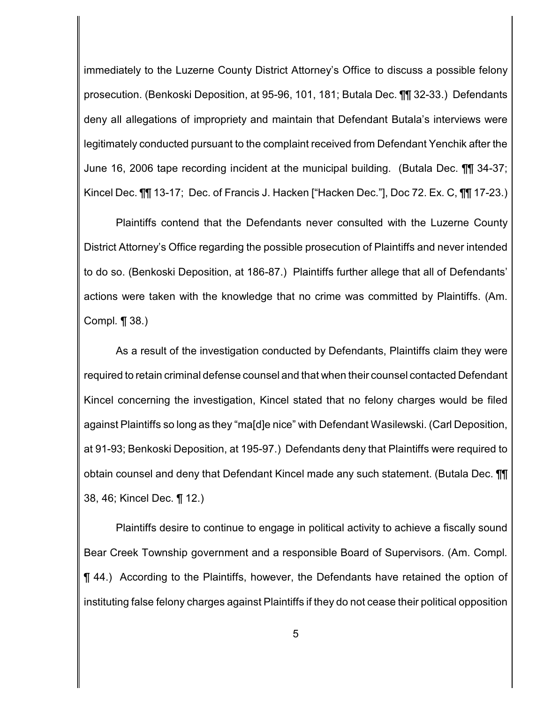immediately to the Luzerne County District Attorney's Office to discuss a possible felony prosecution. (Benkoski Deposition, at 95-96, 101, 181; Butala Dec. ¶¶ 32-33.) Defendants deny all allegations of impropriety and maintain that Defendant Butala's interviews were legitimately conducted pursuant to the complaint received from Defendant Yenchik after the June 16, 2006 tape recording incident at the municipal building. (Butala Dec. ¶¶ 34-37; Kincel Dec. ¶¶ 13-17; Dec. of Francis J. Hacken ["Hacken Dec."], Doc 72. Ex. C, ¶¶ 17-23.)

Plaintiffs contend that the Defendants never consulted with the Luzerne County District Attorney's Office regarding the possible prosecution of Plaintiffs and never intended to do so. (Benkoski Deposition, at 186-87.) Plaintiffs further allege that all of Defendants' actions were taken with the knowledge that no crime was committed by Plaintiffs. (Am. Compl*.* ¶ 38.)

As a result of the investigation conducted by Defendants, Plaintiffs claim they were required to retain criminal defense counsel and that when their counsel contacted Defendant Kincel concerning the investigation, Kincel stated that no felony charges would be filed against Plaintiffs so long as they "ma[d]e nice" with Defendant Wasilewski. (Carl Deposition, at 91-93; Benkoski Deposition, at 195-97.) Defendants deny that Plaintiffs were required to obtain counsel and deny that Defendant Kincel made any such statement. (Butala Dec. ¶¶ 38, 46; Kincel Dec. ¶ 12.)

Plaintiffs desire to continue to engage in political activity to achieve a fiscally sound Bear Creek Township government and a responsible Board of Supervisors. (Am. Compl*.* ¶ 44.) According to the Plaintiffs, however, the Defendants have retained the option of instituting false felony charges against Plaintiffs if they do not cease their political opposition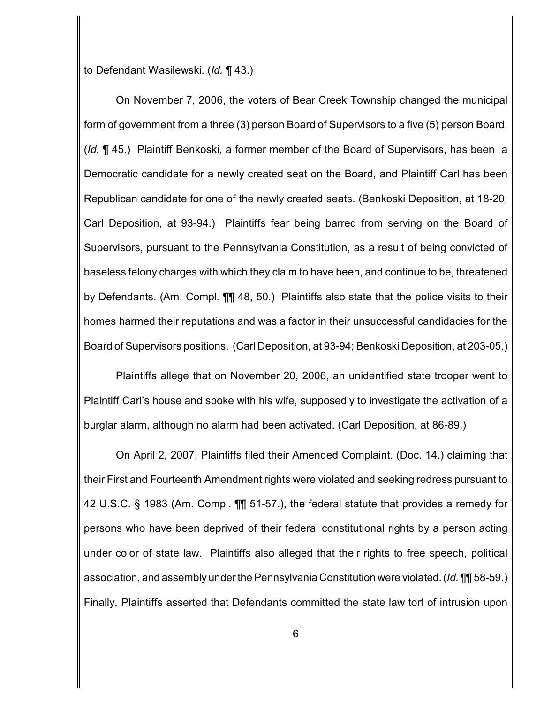to Defendant Wasilewski. (*Id.* ¶ 43.)

On November 7, 2006, the voters of Bear Creek Township changed the municipal form of government from a three (3) person Board of Supervisors to a five (5) person Board. (*Id.* ¶ 45.) Plaintiff Benkoski, a former member of the Board of Supervisors, has been a Democratic candidate for a newly created seat on the Board, and Plaintiff Carl has been Republican candidate for one of the newly created seats. (Benkoski Deposition, at 18-20; Carl Deposition, at 93-94.) Plaintiffs fear being barred from serving on the Board of Supervisors, pursuant to the Pennsylvania Constitution, as a result of being convicted of baseless felony charges with which they claim to have been, and continue to be, threatened by Defendants. (Am. Compl*.* ¶¶ 48, 50.) Plaintiffs also state that the police visits to their homes harmed their reputations and was a factor in their unsuccessful candidacies for the Board of Supervisors positions. (Carl Deposition, at 93-94; Benkoski Deposition, at 203-05.)

Plaintiffs allege that on November 20, 2006, an unidentified state trooper went to Plaintiff Carl's house and spoke with his wife, supposedly to investigate the activation of a burglar alarm, although no alarm had been activated. (Carl Deposition, at 86-89.)

On April 2, 2007, Plaintiffs filed their Amended Complaint. (Doc. 14.) claiming that their First and Fourteenth Amendment rights were violated and seeking redress pursuant to 42 U.S.C. § 1983 (Am. Compl. ¶¶ 51-57.), the federal statute that provides a remedy for persons who have been deprived of their federal constitutional rights by a person acting under color of state law. Plaintiffs also alleged that their rights to free speech, political association, and assembly under the Pennsylvania Constitution were violated. (*Id.* ¶¶ 58-59.) Finally, Plaintiffs asserted that Defendants committed the state law tort of intrusion upon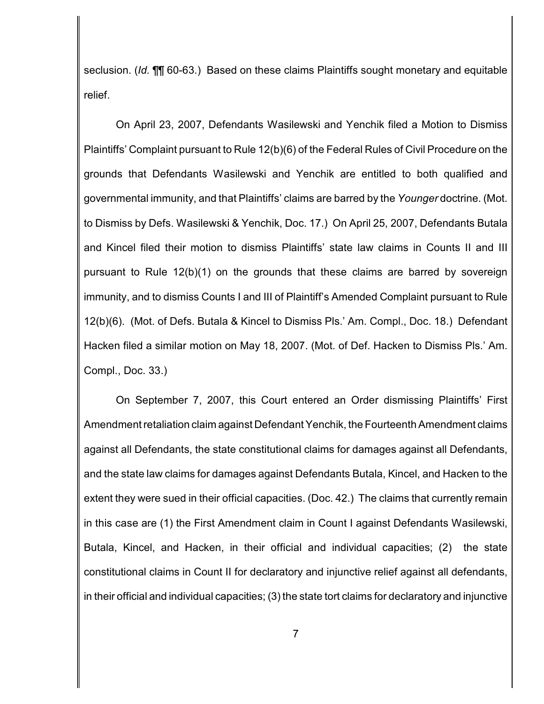seclusion. (*Id.* ¶¶ 60-63.) Based on these claims Plaintiffs sought monetary and equitable relief.

On April 23, 2007, Defendants Wasilewski and Yenchik filed a Motion to Dismiss Plaintiffs' Complaint pursuant to Rule 12(b)(6) of the Federal Rules of Civil Procedure on the grounds that Defendants Wasilewski and Yenchik are entitled to both qualified and governmental immunity, and that Plaintiffs' claims are barred by the *Younger* doctrine. (Mot. to Dismiss by Defs. Wasilewski & Yenchik, Doc. 17.) On April 25, 2007, Defendants Butala and Kincel filed their motion to dismiss Plaintiffs' state law claims in Counts II and III pursuant to Rule 12(b)(1) on the grounds that these claims are barred by sovereign immunity, and to dismiss Counts I and III of Plaintiff's Amended Complaint pursuant to Rule 12(b)(6). (Mot. of Defs. Butala & Kincel to Dismiss Pls.' Am. Compl., Doc. 18.) Defendant Hacken filed a similar motion on May 18, 2007. (Mot. of Def. Hacken to Dismiss Pls.' Am. Compl., Doc. 33.)

On September 7, 2007, this Court entered an Order dismissing Plaintiffs' First Amendment retaliation claim against Defendant Yenchik, the Fourteenth Amendment claims against all Defendants, the state constitutional claims for damages against all Defendants, and the state law claims for damages against Defendants Butala, Kincel, and Hacken to the extent they were sued in their official capacities. (Doc. 42.) The claims that currently remain in this case are (1) the First Amendment claim in Count I against Defendants Wasilewski, Butala, Kincel, and Hacken, in their official and individual capacities; (2) the state constitutional claims in Count II for declaratory and injunctive relief against all defendants, in their official and individual capacities; (3) the state tort claims for declaratory and injunctive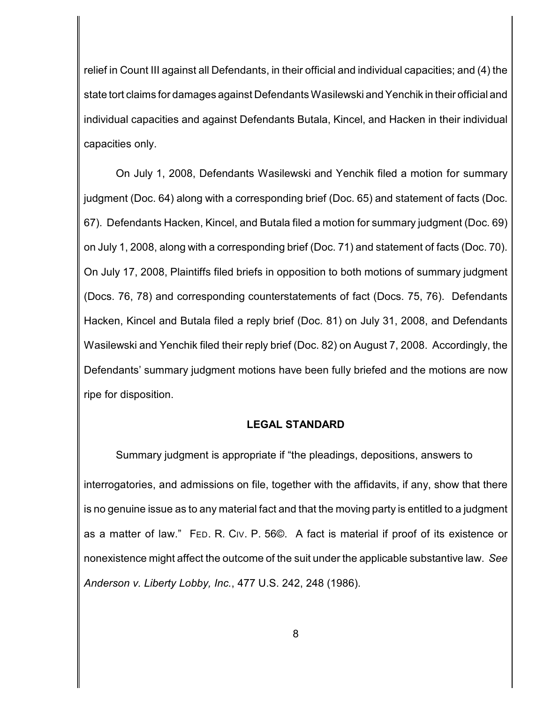relief in Count III against all Defendants, in their official and individual capacities; and (4) the state tort claims for damages against Defendants Wasilewski and Yenchik in their official and individual capacities and against Defendants Butala, Kincel, and Hacken in their individual capacities only.

On July 1, 2008, Defendants Wasilewski and Yenchik filed a motion for summary judgment (Doc. 64) along with a corresponding brief (Doc. 65) and statement of facts (Doc. 67). Defendants Hacken, Kincel, and Butala filed a motion for summary judgment (Doc. 69) on July 1, 2008, along with a corresponding brief (Doc. 71) and statement of facts (Doc. 70). On July 17, 2008, Plaintiffs filed briefs in opposition to both motions of summary judgment (Docs. 76, 78) and corresponding counterstatements of fact (Docs. 75, 76). Defendants Hacken, Kincel and Butala filed a reply brief (Doc. 81) on July 31, 2008, and Defendants Wasilewski and Yenchik filed their reply brief (Doc. 82) on August 7, 2008. Accordingly, the Defendants' summary judgment motions have been fully briefed and the motions are now ripe for disposition.

#### **LEGAL STANDARD**

Summary judgment is appropriate if "the pleadings, depositions, answers to interrogatories, and admissions on file, together with the affidavits, if any, show that there is no genuine issue as to any material fact and that the moving party is entitled to a judgment as a matter of law." FED. R. CIV. P. 56©. A fact is material if proof of its existence or nonexistence might affect the outcome of the suit under the applicable substantive law. *See Anderson v. Liberty Lobby, Inc.*, 477 U.S. 242, 248 (1986).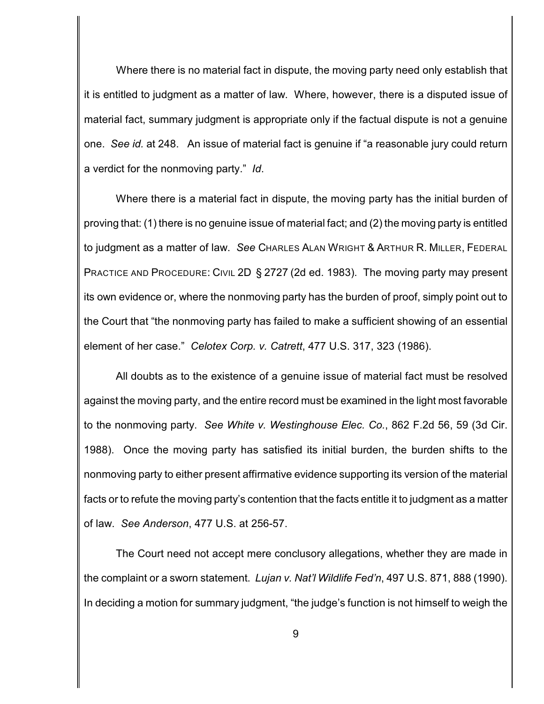Where there is no material fact in dispute, the moving party need only establish that it is entitled to judgment as a matter of law. Where, however, there is a disputed issue of material fact, summary judgment is appropriate only if the factual dispute is not a genuine one. *See id.* at 248. An issue of material fact is genuine if "a reasonable jury could return a verdict for the nonmoving party." *Id*.

Where there is a material fact in dispute, the moving party has the initial burden of proving that: (1) there is no genuine issue of material fact; and (2) the moving party is entitled to judgment as a matter of law. *See* CHARLES ALAN WRIGHT & ARTHUR R. MILLER, FEDERAL PRACTICE AND PROCEDURE: CIVIL 2D § 2727 (2d ed. 1983). The moving party may present its own evidence or, where the nonmoving party has the burden of proof, simply point out to the Court that "the nonmoving party has failed to make a sufficient showing of an essential element of her case." *Celotex Corp. v. Catrett*, 477 U.S. 317, 323 (1986).

All doubts as to the existence of a genuine issue of material fact must be resolved against the moving party, and the entire record must be examined in the light most favorable to the nonmoving party. *See White v. Westinghouse Elec. Co.*, 862 F.2d 56, 59 (3d Cir. 1988). Once the moving party has satisfied its initial burden, the burden shifts to the nonmoving party to either present affirmative evidence supporting its version of the material facts or to refute the moving party's contention that the facts entitle it to judgment as a matter of law. *See Anderson*, 477 U.S. at 256-57.

The Court need not accept mere conclusory allegations, whether they are made in the complaint or a sworn statement. *Lujan v. Nat'l Wildlife Fed'n*, 497 U.S. 871, 888 (1990). In deciding a motion for summary judgment, "the judge's function is not himself to weigh the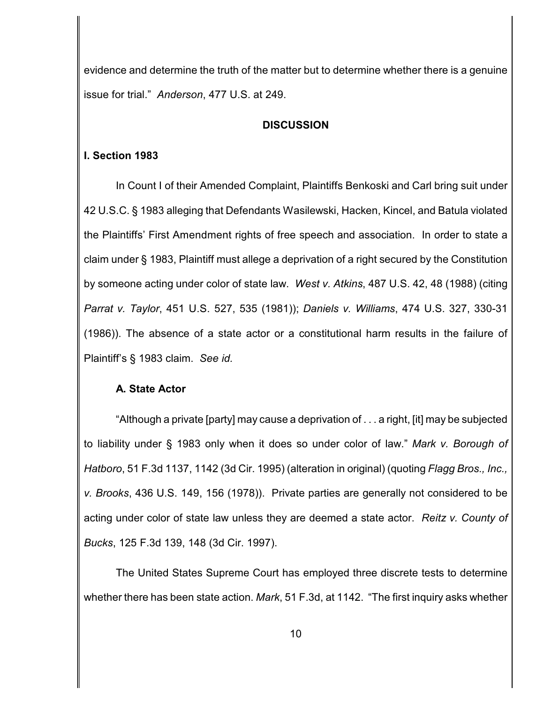evidence and determine the truth of the matter but to determine whether there is a genuine issue for trial." *Anderson*, 477 U.S. at 249.

#### **DISCUSSION**

### **I. Section 1983**

In Count I of their Amended Complaint, Plaintiffs Benkoski and Carl bring suit under 42 U.S.C. § 1983 alleging that Defendants Wasilewski, Hacken, Kincel, and Batula violated the Plaintiffs' First Amendment rights of free speech and association. In order to state a claim under § 1983, Plaintiff must allege a deprivation of a right secured by the Constitution by someone acting under color of state law. *West v. Atkins*, 487 U.S. 42, 48 (1988) (citing *Parrat v. Taylor*, 451 U.S. 527, 535 (1981)); *Daniels v. Williams*, 474 U.S. 327, 330-31 (1986)). The absence of a state actor or a constitutional harm results in the failure of Plaintiff's § 1983 claim.*See id.*

## **A. State Actor**

"Although a private [party] may cause a deprivation of . . . a right, [it] may be subjected to liability under § 1983 only when it does so under color of law." *Mark v. Borough of Hatboro*, 51 F.3d 1137, 1142 (3d Cir. 1995) (alteration in original) (quoting *Flagg Bros., Inc., v. Brooks*, 436 U.S. 149, 156 (1978)). Private parties are generally not considered to be acting under color of state law unless they are deemed a state actor. *Reitz v. County of Bucks*, 125 F.3d 139, 148 (3d Cir. 1997).

The United States Supreme Court has employed three discrete tests to determine whether there has been state action. *Mark*, 51 F.3d, at 1142. "The first inquiry asks whether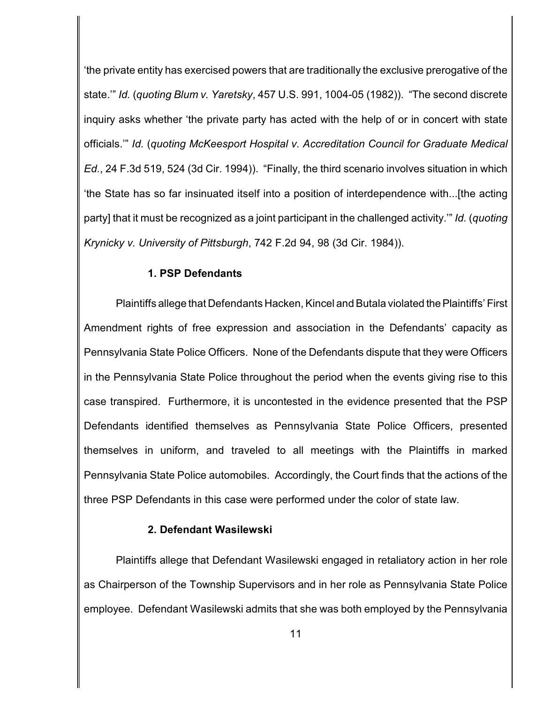'the private entity has exercised powers that are traditionally the exclusive prerogative of the state.'" *Id.* (*quoting Blum v. Yaretsky*, 457 U.S. 991, 1004-05 (1982)). "The second discrete inquiry asks whether 'the private party has acted with the help of or in concert with state officials.'" *Id.* (*quoting McKeesport Hospital v. Accreditation Council for Graduate Medical Ed.*, 24 F.3d 519, 524 (3d Cir. 1994)). "Finally, the third scenario involves situation in which 'the State has so far insinuated itself into a position of interdependence with...[the acting party] that it must be recognized as a joint participant in the challenged activity.'" *Id.* (*quoting Krynicky v. University of Pittsburgh*, 742 F.2d 94, 98 (3d Cir. 1984)).

#### **1. PSP Defendants**

Plaintiffs allege that Defendants Hacken, Kincel and Butala violated the Plaintiffs' First Amendment rights of free expression and association in the Defendants' capacity as Pennsylvania State Police Officers. None of the Defendants dispute that they were Officers in the Pennsylvania State Police throughout the period when the events giving rise to this case transpired. Furthermore, it is uncontested in the evidence presented that the PSP Defendants identified themselves as Pennsylvania State Police Officers, presented themselves in uniform, and traveled to all meetings with the Plaintiffs in marked Pennsylvania State Police automobiles. Accordingly, the Court finds that the actions of the three PSP Defendants in this case were performed under the color of state law.

#### **2. Defendant Wasilewski**

Plaintiffs allege that Defendant Wasilewski engaged in retaliatory action in her role as Chairperson of the Township Supervisors and in her role as Pennsylvania State Police employee. Defendant Wasilewski admits that she was both employed by the Pennsylvania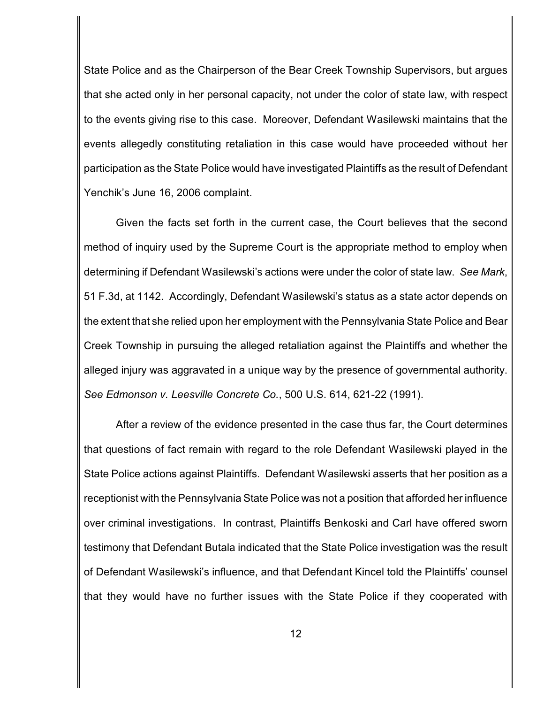State Police and as the Chairperson of the Bear Creek Township Supervisors, but argues that she acted only in her personal capacity, not under the color of state law, with respect to the events giving rise to this case. Moreover, Defendant Wasilewski maintains that the events allegedly constituting retaliation in this case would have proceeded without her participation as the State Police would have investigated Plaintiffs as the result of Defendant Yenchik's June 16, 2006 complaint.

Given the facts set forth in the current case, the Court believes that the second method of inquiry used by the Supreme Court is the appropriate method to employ when determining if Defendant Wasilewski's actions were under the color of state law. *See Mark*, 51 F.3d, at 1142. Accordingly, Defendant Wasilewski's status as a state actor depends on the extent that she relied upon her employment with the Pennsylvania State Police and Bear Creek Township in pursuing the alleged retaliation against the Plaintiffs and whether the alleged injury was aggravated in a unique way by the presence of governmental authority. *See Edmonson v. Leesville Concrete Co.*, 500 U.S. 614, 621-22 (1991).

After a review of the evidence presented in the case thus far, the Court determines that questions of fact remain with regard to the role Defendant Wasilewski played in the State Police actions against Plaintiffs. Defendant Wasilewski asserts that her position as a receptionist with the Pennsylvania State Police was not a position that afforded her influence over criminal investigations. In contrast, Plaintiffs Benkoski and Carl have offered sworn testimony that Defendant Butala indicated that the State Police investigation was the result of Defendant Wasilewski's influence, and that Defendant Kincel told the Plaintiffs' counsel that they would have no further issues with the State Police if they cooperated with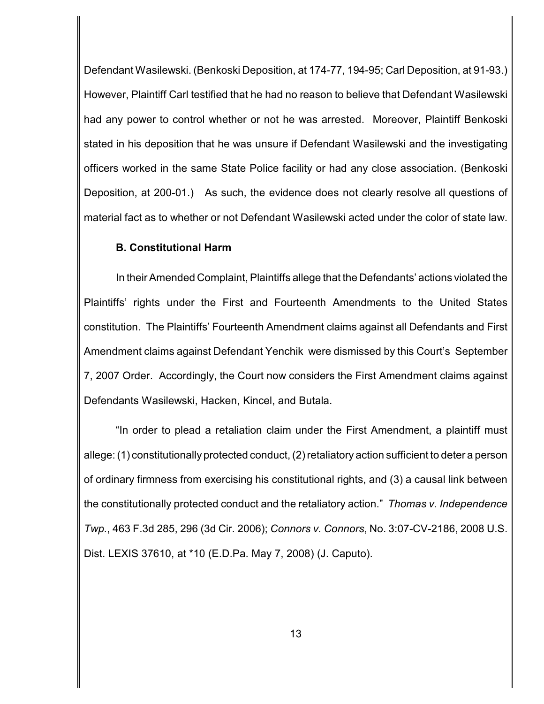Defendant Wasilewski. (Benkoski Deposition, at 174-77, 194-95; Carl Deposition, at 91-93.) However, Plaintiff Carl testified that he had no reason to believe that Defendant Wasilewski had any power to control whether or not he was arrested. Moreover, Plaintiff Benkoski stated in his deposition that he was unsure if Defendant Wasilewski and the investigating officers worked in the same State Police facility or had any close association. (Benkoski Deposition, at 200-01.) As such, the evidence does not clearly resolve all questions of material fact as to whether or not Defendant Wasilewski acted under the color of state law.

### **B. Constitutional Harm**

In their Amended Complaint, Plaintiffs allege that the Defendants' actions violated the Plaintiffs' rights under the First and Fourteenth Amendments to the United States constitution. The Plaintiffs' Fourteenth Amendment claims against all Defendants and First Amendment claims against Defendant Yenchik were dismissed by this Court's September 7, 2007 Order. Accordingly, the Court now considers the First Amendment claims against Defendants Wasilewski, Hacken, Kincel, and Butala.

"In order to plead a retaliation claim under the First Amendment, a plaintiff must allege: (1) constitutionally protected conduct, (2) retaliatory action sufficient to deter a person of ordinary firmness from exercising his constitutional rights, and (3) a causal link between the constitutionally protected conduct and the retaliatory action." *Thomas v. Independence Twp.*, 463 F.3d 285, 296 (3d Cir. 2006); *Connors v. Connors*, No. 3:07-CV-2186, 2008 U.S. Dist. LEXIS 37610, at \*10 (E.D.Pa. May 7, 2008) (J. Caputo).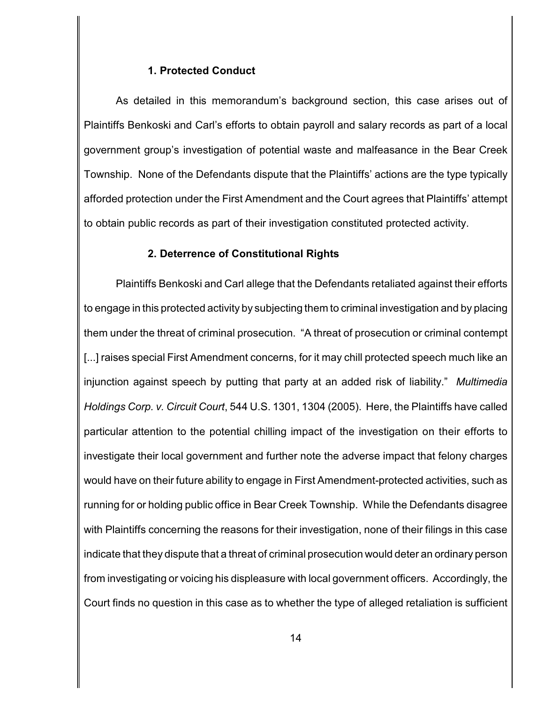#### **1. Protected Conduct**

As detailed in this memorandum's background section, this case arises out of Plaintiffs Benkoski and Carl's efforts to obtain payroll and salary records as part of a local government group's investigation of potential waste and malfeasance in the Bear Creek Township. None of the Defendants dispute that the Plaintiffs' actions are the type typically afforded protection under the First Amendment and the Court agrees that Plaintiffs' attempt to obtain public records as part of their investigation constituted protected activity.

#### **2. Deterrence of Constitutional Rights**

Plaintiffs Benkoski and Carl allege that the Defendants retaliated against their efforts to engage in this protected activity by subjecting them to criminal investigation and by placing them under the threat of criminal prosecution. "A threat of prosecution or criminal contempt [...] raises special First Amendment concerns, for it may chill protected speech much like an injunction against speech by putting that party at an added risk of liability." *Multimedia Holdings Corp. v. Circuit Court*, 544 U.S. 1301, 1304 (2005). Here, the Plaintiffs have called particular attention to the potential chilling impact of the investigation on their efforts to investigate their local government and further note the adverse impact that felony charges would have on their future ability to engage in First Amendment-protected activities, such as running for or holding public office in Bear Creek Township. While the Defendants disagree with Plaintiffs concerning the reasons for their investigation, none of their filings in this case indicate that they dispute that a threat of criminal prosecution would deter an ordinary person from investigating or voicing his displeasure with local government officers. Accordingly, the Court finds no question in this case as to whether the type of alleged retaliation is sufficient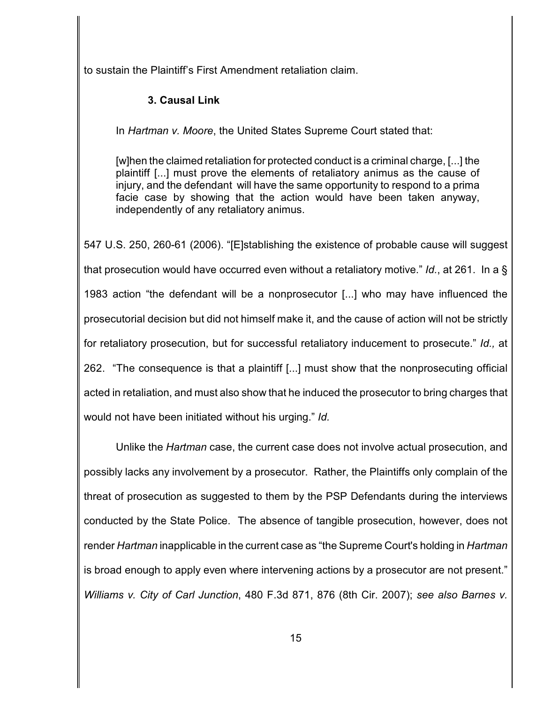to sustain the Plaintiff's First Amendment retaliation claim.

## **3. Causal Link**

In *Hartman v. Moore*, the United States Supreme Court stated that:

[w]hen the claimed retaliation for protected conduct is a criminal charge, [...] the plaintiff [...] must prove the elements of retaliatory animus as the cause of injury, and the defendant will have the same opportunity to respond to a prima facie case by showing that the action would have been taken anyway, independently of any retaliatory animus.

547 U.S. 250, 260-61 (2006). "[E]stablishing the existence of probable cause will suggest that prosecution would have occurred even without a retaliatory motive." *Id.*, at 261. In a § 1983 action "the defendant will be a nonprosecutor [...] who may have influenced the prosecutorial decision but did not himself make it, and the cause of action will not be strictly for retaliatory prosecution, but for successful retaliatory inducement to prosecute." *Id.,* at 262. "The consequence is that a plaintiff [...] must show that the nonprosecuting official acted in retaliation, and must also show that he induced the prosecutor to bring charges that would not have been initiated without his urging." *Id.*

Unlike the *Hartman* case, the current case does not involve actual prosecution, and possibly lacks any involvement by a prosecutor. Rather, the Plaintiffs only complain of the threat of prosecution as suggested to them by the PSP Defendants during the interviews conducted by the State Police. The absence of tangible prosecution, however, does not render *Hartman* inapplicable in the current case as "the Supreme Court's holding in *Hartman* is broad enough to apply even where intervening actions by a prosecutor are not present." *Williams v. City of Carl Junction*, 480 F.3d 871, 876 (8th Cir. 2007); *see also Barnes v.*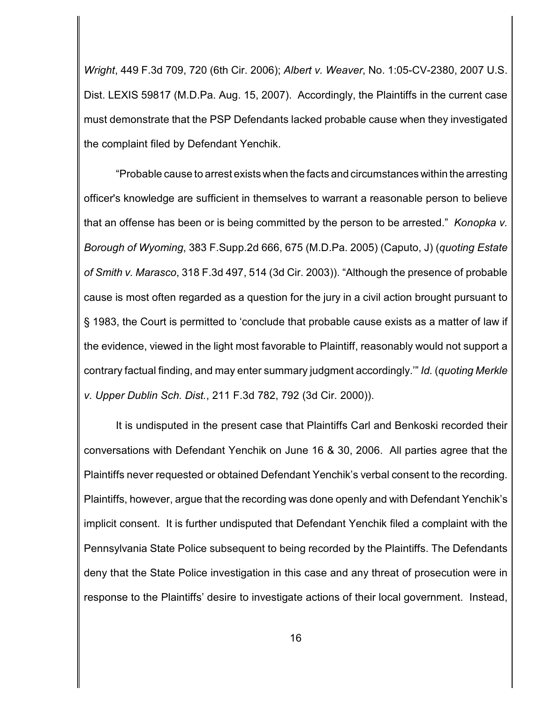*Wright*, 449 F.3d 709, 720 (6th Cir. 2006); *Albert v. Weaver*, No. 1:05-CV-2380, 2007 U.S. Dist. LEXIS 59817 (M.D.Pa. Aug. 15, 2007). Accordingly, the Plaintiffs in the current case must demonstrate that the PSP Defendants lacked probable cause when they investigated the complaint filed by Defendant Yenchik.

"Probable cause to arrest exists when the facts and circumstances within the arresting officer's knowledge are sufficient in themselves to warrant a reasonable person to believe that an offense has been or is being committed by the person to be arrested." *Konopka v. Borough of Wyoming*, 383 F.Supp.2d 666, 675 (M.D.Pa. 2005) (Caputo, J) (*quoting Estate of Smith v. Marasco*, 318 F.3d 497, 514 (3d Cir. 2003)). "Although the presence of probable cause is most often regarded as a question for the jury in a civil action brought pursuant to § 1983, the Court is permitted to 'conclude that probable cause exists as a matter of law if the evidence, viewed in the light most favorable to Plaintiff, reasonably would not support a contrary factual finding, and may enter summary judgment accordingly.'" *Id.* (*quoting Merkle v. Upper Dublin Sch. Dist.*, 211 F.3d 782, 792 (3d Cir. 2000)).

It is undisputed in the present case that Plaintiffs Carl and Benkoski recorded their conversations with Defendant Yenchik on June 16 & 30, 2006. All parties agree that the Plaintiffs never requested or obtained Defendant Yenchik's verbal consent to the recording. Plaintiffs, however, argue that the recording was done openly and with Defendant Yenchik's implicit consent. It is further undisputed that Defendant Yenchik filed a complaint with the Pennsylvania State Police subsequent to being recorded by the Plaintiffs. The Defendants deny that the State Police investigation in this case and any threat of prosecution were in response to the Plaintiffs' desire to investigate actions of their local government. Instead,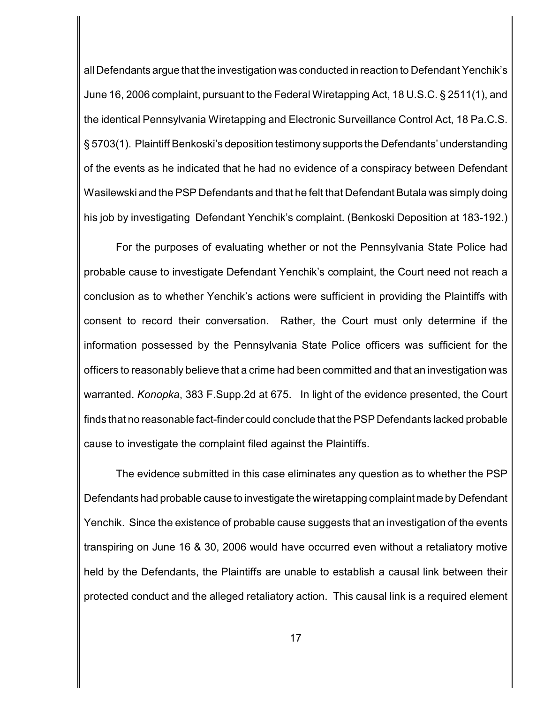all Defendants argue that the investigation was conducted in reaction to Defendant Yenchik's June 16, 2006 complaint, pursuant to the Federal Wiretapping Act, 18 U.S.C. § 2511(1), and the identical Pennsylvania Wiretapping and Electronic Surveillance Control Act, 18 Pa.C.S. § 5703(1). Plaintiff Benkoski's deposition testimony supports the Defendants' understanding of the events as he indicated that he had no evidence of a conspiracy between Defendant Wasilewski and the PSP Defendants and that he felt that Defendant Butala was simply doing his job by investigating Defendant Yenchik's complaint. (Benkoski Deposition at 183-192.)

For the purposes of evaluating whether or not the Pennsylvania State Police had probable cause to investigate Defendant Yenchik's complaint, the Court need not reach a conclusion as to whether Yenchik's actions were sufficient in providing the Plaintiffs with consent to record their conversation. Rather, the Court must only determine if the information possessed by the Pennsylvania State Police officers was sufficient for the officers to reasonably believe that a crime had been committed and that an investigation was warranted. *Konopka*, 383 F.Supp.2d at 675. In light of the evidence presented, the Court finds that no reasonable fact-finder could conclude that the PSP Defendants lacked probable cause to investigate the complaint filed against the Plaintiffs.

The evidence submitted in this case eliminates any question as to whether the PSP Defendants had probable cause to investigate the wiretapping complaint made by Defendant Yenchik. Since the existence of probable cause suggests that an investigation of the events transpiring on June 16 & 30, 2006 would have occurred even without a retaliatory motive held by the Defendants, the Plaintiffs are unable to establish a causal link between their protected conduct and the alleged retaliatory action. This causal link is a required element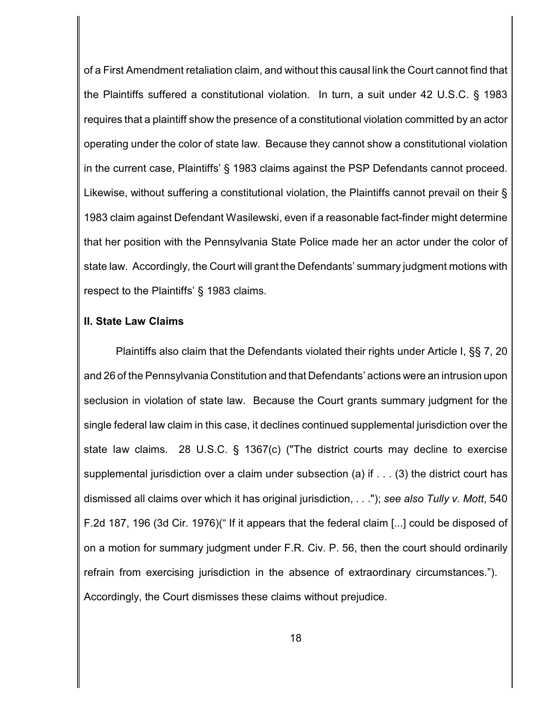of a First Amendment retaliation claim, and without this causal link the Court cannot find that the Plaintiffs suffered a constitutional violation. In turn, a suit under 42 U.S.C. § 1983 requires that a plaintiff show the presence of a constitutional violation committed by an actor operating under the color of state law. Because they cannot show a constitutional violation in the current case, Plaintiffs' § 1983 claims against the PSP Defendants cannot proceed. Likewise, without suffering a constitutional violation, the Plaintiffs cannot prevail on their § 1983 claim against Defendant Wasilewski, even if a reasonable fact-finder might determine that her position with the Pennsylvania State Police made her an actor under the color of state law. Accordingly, the Court will grant the Defendants' summary judgment motions with respect to the Plaintiffs' § 1983 claims.

#### **II. State Law Claims**

Plaintiffs also claim that the Defendants violated their rights under Article I, §§ 7, 20 and 26 of the Pennsylvania Constitution and that Defendants' actions were an intrusion upon seclusion in violation of state law. Because the Court grants summary judgment for the single federal law claim in this case, it declines continued supplemental jurisdiction over the state law claims. 28 U.S.C. § 1367(c) ("The district courts may decline to exercise supplemental jurisdiction over a claim under subsection (a) if . . . (3) the district court has dismissed all claims over which it has original jurisdiction, . . ."); *see also Tully v. Mott*, 540 F.2d 187, 196 (3d Cir. 1976)(" If it appears that the federal claim [...] could be disposed of on a motion for summary judgment under F.R. Civ. P. 56, then the court should ordinarily refrain from exercising jurisdiction in the absence of extraordinary circumstances."). Accordingly, the Court dismisses these claims without prejudice.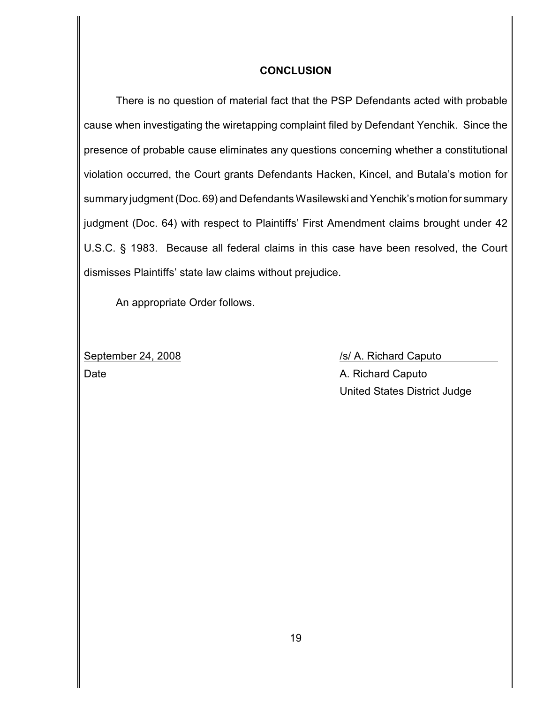### **CONCLUSION**

There is no question of material fact that the PSP Defendants acted with probable cause when investigating the wiretapping complaint filed by Defendant Yenchik. Since the presence of probable cause eliminates any questions concerning whether a constitutional violation occurred, the Court grants Defendants Hacken, Kincel, and Butala's motion for summary judgment (Doc. 69) and Defendants Wasilewski and Yenchik's motion for summary judgment (Doc. 64) with respect to Plaintiffs' First Amendment claims brought under 42 U.S.C. § 1983. Because all federal claims in this case have been resolved, the Court dismisses Plaintiffs' state law claims without prejudice.

An appropriate Order follows.

Date **Date** A. Richard Caputo

September 24, 2008 /s/ A. Richard Caputo United States District Judge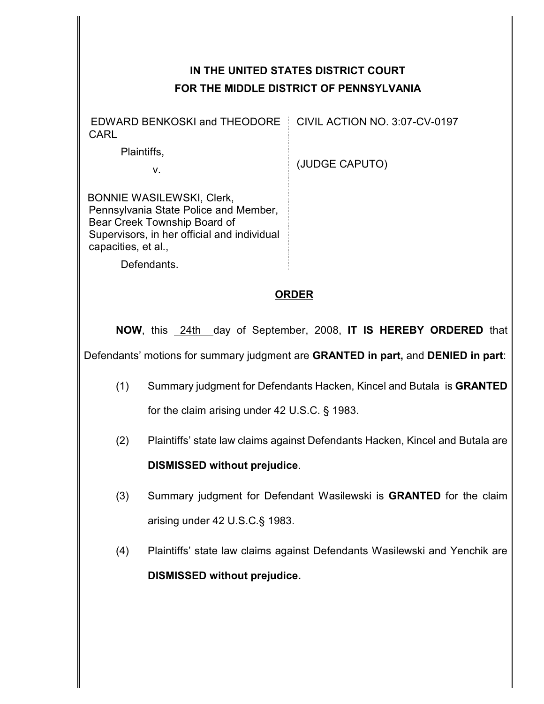# **IN THE UNITED STATES DISTRICT COURT FOR THE MIDDLE DISTRICT OF PENNSYLVANIA**

 EDWARD BENKOSKI and THEODORE CARL

CIVIL ACTION NO. 3:07-CV-0197

(JUDGE CAPUTO)

 BONNIE WASILEWSKI, Clerk, Pennsylvania State Police and Member, Bear Creek Township Board of Supervisors, in her official and individual capacities, et al.,

Defendants.

Plaintiffs,

v.

## **ORDER**

**NOW**, this 24th day of September, 2008, **IT IS HEREBY ORDERED** that Defendants' motions for summary judgment are **GRANTED in part,** and **DENIED in part**:

- (1) Summary judgment for Defendants Hacken, Kincel and Butala is **GRANTED** for the claim arising under 42 U.S.C. § 1983.
- (2) Plaintiffs' state law claims against Defendants Hacken, Kincel and Butala are

## **DISMISSED without prejudice**.

- (3) Summary judgment for Defendant Wasilewski is **GRANTED** for the claim arising under 42 U.S.C.§ 1983.
- (4) Plaintiffs' state law claims against Defendants Wasilewski and Yenchik are **DISMISSED without prejudice.**